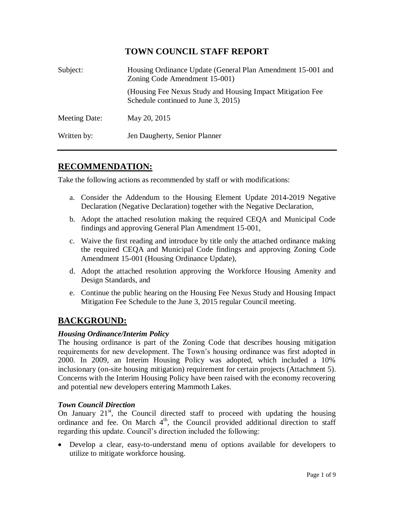## **TOWN COUNCIL STAFF REPORT**

| Subject:      | Housing Ordinance Update (General Plan Amendment 15-001 and<br>Zoning Code Amendment 15-001)      |
|---------------|---------------------------------------------------------------------------------------------------|
|               | (Housing Fee Nexus Study and Housing Impact Mitigation Fee<br>Schedule continued to June 3, 2015) |
| Meeting Date: | May 20, 2015                                                                                      |
| Written by:   | Jen Daugherty, Senior Planner                                                                     |

### **RECOMMENDATION:**

Take the following actions as recommended by staff or with modifications:

- a. Consider the Addendum to the Housing Element Update 2014-2019 Negative Declaration (Negative Declaration) together with the Negative Declaration,
- b. Adopt the attached resolution making the required CEQA and Municipal Code findings and approving General Plan Amendment 15-001,
- c. Waive the first reading and introduce by title only the attached ordinance making the required CEQA and Municipal Code findings and approving Zoning Code Amendment 15-001 (Housing Ordinance Update),
- d. Adopt the attached resolution approving the Workforce Housing Amenity and Design Standards, and
- e. Continue the public hearing on the Housing Fee Nexus Study and Housing Impact Mitigation Fee Schedule to the June 3, 2015 regular Council meeting.

### **BACKGROUND:**

#### *Housing Ordinance/Interim Policy*

The housing ordinance is part of the Zoning Code that describes housing mitigation requirements for new development. The Town's housing ordinance was first adopted in 2000. In 2009, an Interim Housing Policy was adopted, which included a 10% inclusionary (on-site housing mitigation) requirement for certain projects (Attachment 5). Concerns with the Interim Housing Policy have been raised with the economy recovering and potential new developers entering Mammoth Lakes.

#### *Town Council Direction*

On January  $21<sup>st</sup>$ , the Council directed staff to proceed with updating the housing ordinance and fee. On March 4<sup>th</sup>, the Council provided additional direction to staff regarding this update. Council's direction included the following:

 Develop a clear, easy-to-understand menu of options available for developers to utilize to mitigate workforce housing.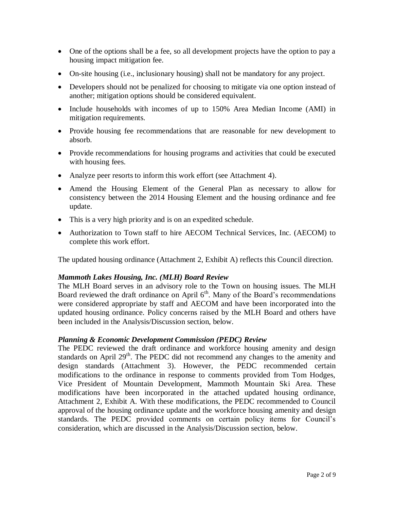- One of the options shall be a fee, so all development projects have the option to pay a housing impact mitigation fee.
- On-site housing (i.e., inclusionary housing) shall not be mandatory for any project.
- Developers should not be penalized for choosing to mitigate via one option instead of another; mitigation options should be considered equivalent.
- Include households with incomes of up to 150% Area Median Income (AMI) in mitigation requirements.
- Provide housing fee recommendations that are reasonable for new development to absorb.
- Provide recommendations for housing programs and activities that could be executed with housing fees.
- Analyze peer resorts to inform this work effort (see Attachment 4).
- Amend the Housing Element of the General Plan as necessary to allow for consistency between the 2014 Housing Element and the housing ordinance and fee update.
- This is a very high priority and is on an expedited schedule.
- Authorization to Town staff to hire AECOM Technical Services, Inc. (AECOM) to complete this work effort.

The updated housing ordinance (Attachment 2, Exhibit A) reflects this Council direction.

### *Mammoth Lakes Housing, Inc. (MLH) Board Review*

The MLH Board serves in an advisory role to the Town on housing issues. The MLH Board reviewed the draft ordinance on April 6<sup>th</sup>. Many of the Board's recommendations were considered appropriate by staff and AECOM and have been incorporated into the updated housing ordinance. Policy concerns raised by the MLH Board and others have been included in the Analysis/Discussion section, below.

### *Planning & Economic Development Commission (PEDC) Review*

The PEDC reviewed the draft ordinance and workforce housing amenity and design standards on April 29<sup>th</sup>. The PEDC did not recommend any changes to the amenity and design standards (Attachment 3). However, the PEDC recommended certain modifications to the ordinance in response to comments provided from Tom Hodges, Vice President of Mountain Development, Mammoth Mountain Ski Area. These modifications have been incorporated in the attached updated housing ordinance, Attachment 2, Exhibit A. With these modifications, the PEDC recommended to Council approval of the housing ordinance update and the workforce housing amenity and design standards. The PEDC provided comments on certain policy items for Council's consideration, which are discussed in the Analysis/Discussion section, below.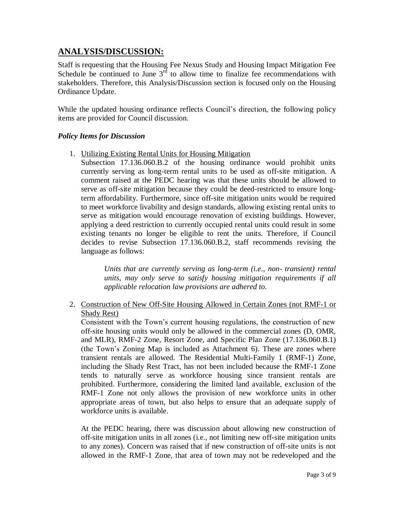## **ANALYSIS/DISCUSSION:**

Staff is requesting that the Housing Fee Nexus Study and Housing Impact Mitigation Fee Schedule be continued to June  $3<sup>rd</sup>$  to allow time to finalize fee recommendations with stakeholders. Therefore, this Analysis/Discussion section is focused only on the Housing Ordinance Update.

While the updated housing ordinance reflects Council's direction, the following policy items are provided for Council discussion.

#### *Policy Items for Discussion*

1. Utilizing Existing Rental Units for Housing Mitigation

Subsection 17.136.060.B.2 of the housing ordinance would prohibit units currently serving as long-term rental units to be used as off-site mitigation. A comment raised at the PEDC hearing was that these units should be allowed to serve as off-site mitigation because they could be deed-restricted to ensure longterm affordability. Furthermore, since off-site mitigation units would be required to meet workforce livability and design standards, allowing existing rental units to serve as mitigation would encourage renovation of existing buildings. However, applying a deed restriction to currently occupied rental units could result in some existing tenants no longer be eligible to rent the units. Therefore, if Council decides to revise Subsection 17.136.060.B.2, staff recommends revising the language as follows:

*Units that are currently serving as long-term (i.e., non- transient) rental units, may only serve to satisfy housing mitigation requirements if all applicable relocation law provisions are adhered to.*

2. Construction of New Off-Site Housing Allowed in Certain Zones (not RMF-1 or Shady Rest)

Consistent with the Town's current housing regulations, the construction of new off-site housing units would only be allowed in the commercial zones (D, OMR, and MLR), RMF-2 Zone, Resort Zone, and Specific Plan Zone (17.136.060.B.1) (the Town's Zoning Map is included as Attachment 6). These are zones where transient rentals are allowed. The Residential Multi-Family 1 (RMF-1) Zone, including the Shady Rest Tract, has not been included because the RMF-1 Zone tends to naturally serve as workforce housing since transient rentals are prohibited. Furthermore, considering the limited land available, exclusion of the RMF-1 Zone not only allows the provision of new workforce units in other appropriate areas of town, but also helps to ensure that an adequate supply of workforce units is available.

At the PEDC hearing, there was discussion about allowing new construction of off-site mitigation units in all zones (i.e., not limiting new off-site mitigation units to any zones). Concern was raised that if new construction of off-site units is not allowed in the RMF-1 Zone, that area of town may not be redeveloped and the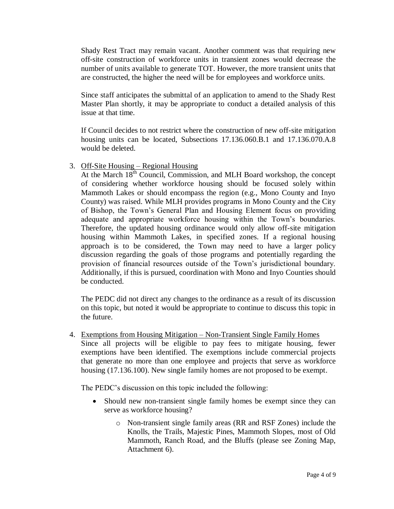Shady Rest Tract may remain vacant. Another comment was that requiring new off-site construction of workforce units in transient zones would decrease the number of units available to generate TOT. However, the more transient units that are constructed, the higher the need will be for employees and workforce units.

Since staff anticipates the submittal of an application to amend to the Shady Rest Master Plan shortly, it may be appropriate to conduct a detailed analysis of this issue at that time.

If Council decides to not restrict where the construction of new off-site mitigation housing units can be located, Subsections 17.136.060.B.1 and 17.136.070.A.8 would be deleted.

3. Off-Site Housing – Regional Housing

At the March 18<sup>th</sup> Council, Commission, and MLH Board workshop, the concept of considering whether workforce housing should be focused solely within Mammoth Lakes or should encompass the region (e.g., Mono County and Inyo County) was raised. While MLH provides programs in Mono County and the City of Bishop, the Town's General Plan and Housing Element focus on providing adequate and appropriate workforce housing within the Town's boundaries. Therefore, the updated housing ordinance would only allow off-site mitigation housing within Mammoth Lakes, in specified zones. If a regional housing approach is to be considered, the Town may need to have a larger policy discussion regarding the goals of those programs and potentially regarding the provision of financial resources outside of the Town's jurisdictional boundary. Additionally, if this is pursued, coordination with Mono and Inyo Counties should be conducted.

The PEDC did not direct any changes to the ordinance as a result of its discussion on this topic, but noted it would be appropriate to continue to discuss this topic in the future.

4. Exemptions from Housing Mitigation – Non-Transient Single Family Homes Since all projects will be eligible to pay fees to mitigate housing, fewer exemptions have been identified. The exemptions include commercial projects that generate no more than one employee and projects that serve as workforce housing (17.136.100). New single family homes are not proposed to be exempt.

The PEDC's discussion on this topic included the following:

- Should new non-transient single family homes be exempt since they can serve as workforce housing?
	- o Non-transient single family areas (RR and RSF Zones) include the Knolls, the Trails, Majestic Pines, Mammoth Slopes, most of Old Mammoth, Ranch Road, and the Bluffs (please see Zoning Map, Attachment 6).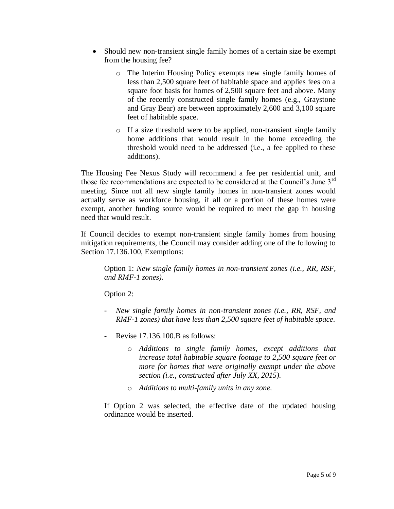- Should new non-transient single family homes of a certain size be exempt from the housing fee?
	- o The Interim Housing Policy exempts new single family homes of less than 2,500 square feet of habitable space and applies fees on a square foot basis for homes of 2,500 square feet and above. Many of the recently constructed single family homes (e.g., Graystone and Gray Bear) are between approximately 2,600 and 3,100 square feet of habitable space.
	- o If a size threshold were to be applied, non-transient single family home additions that would result in the home exceeding the threshold would need to be addressed (i.e., a fee applied to these additions).

The Housing Fee Nexus Study will recommend a fee per residential unit, and those fee recommendations are expected to be considered at the Council's June  $3<sup>rd</sup>$ meeting. Since not all new single family homes in non-transient zones would actually serve as workforce housing, if all or a portion of these homes were exempt, another funding source would be required to meet the gap in housing need that would result.

If Council decides to exempt non-transient single family homes from housing mitigation requirements, the Council may consider adding one of the following to Section 17.136.100, Exemptions:

Option 1: *New* s*ingle family homes in non-transient zones (i.e., RR, RSF, and RMF-1 zones).*

Option 2:

- *- New single family homes in non-transient zones (i.e., RR, RSF, and RMF-1 zones) that have less than 2,500 square feet of habitable space.*
- *-* Revise 17.136.100.B as follows:
	- o *Additions to single family homes, except additions that increase total habitable square footage to 2,500 square feet or more for homes that were originally exempt under the above section (i.e., constructed after July XX, 2015).*
	- o *Additions to multi-family units in any zone.*

If Option 2 was selected, the effective date of the updated housing ordinance would be inserted.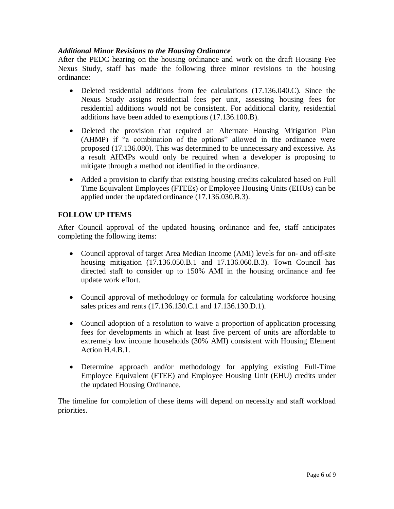#### *Additional Minor Revisions to the Housing Ordinance*

After the PEDC hearing on the housing ordinance and work on the draft Housing Fee Nexus Study, staff has made the following three minor revisions to the housing ordinance:

- Deleted residential additions from fee calculations (17.136.040.C). Since the Nexus Study assigns residential fees per unit, assessing housing fees for residential additions would not be consistent. For additional clarity, residential additions have been added to exemptions (17.136.100.B).
- Deleted the provision that required an Alternate Housing Mitigation Plan (AHMP) if "a combination of the options" allowed in the ordinance were proposed (17.136.080). This was determined to be unnecessary and excessive. As a result AHMPs would only be required when a developer is proposing to mitigate through a method not identified in the ordinance.
- Added a provision to clarify that existing housing credits calculated based on Full Time Equivalent Employees (FTEEs) or Employee Housing Units (EHUs) can be applied under the updated ordinance (17.136.030.B.3).

### **FOLLOW UP ITEMS**

After Council approval of the updated housing ordinance and fee, staff anticipates completing the following items:

- Council approval of target Area Median Income (AMI) levels for on- and off-site housing mitigation (17.136.050.B.1 and 17.136.060.B.3). Town Council has directed staff to consider up to 150% AMI in the housing ordinance and fee update work effort.
- Council approval of methodology or formula for calculating workforce housing sales prices and rents (17.136.130.C.1 and 17.136.130.D.1).
- Council adoption of a resolution to waive a proportion of application processing fees for developments in which at least five percent of units are affordable to extremely low income households (30% AMI) consistent with Housing Element Action H.4.B.1.
- Determine approach and/or methodology for applying existing Full-Time Employee Equivalent (FTEE) and Employee Housing Unit (EHU) credits under the updated Housing Ordinance.

The timeline for completion of these items will depend on necessity and staff workload priorities.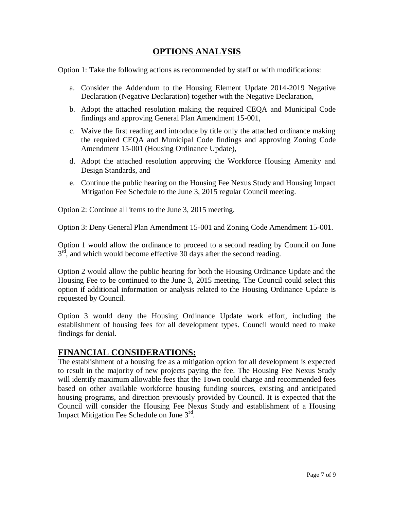## **OPTIONS ANALYSIS**

Option 1: Take the following actions as recommended by staff or with modifications:

- a. Consider the Addendum to the Housing Element Update 2014-2019 Negative Declaration (Negative Declaration) together with the Negative Declaration,
- b. Adopt the attached resolution making the required CEQA and Municipal Code findings and approving General Plan Amendment 15-001,
- c. Waive the first reading and introduce by title only the attached ordinance making the required CEQA and Municipal Code findings and approving Zoning Code Amendment 15-001 (Housing Ordinance Update),
- d. Adopt the attached resolution approving the Workforce Housing Amenity and Design Standards, and
- e. Continue the public hearing on the Housing Fee Nexus Study and Housing Impact Mitigation Fee Schedule to the June 3, 2015 regular Council meeting.

Option 2: Continue all items to the June 3, 2015 meeting.

Option 3: Deny General Plan Amendment 15-001 and Zoning Code Amendment 15-001.

Option 1 would allow the ordinance to proceed to a second reading by Council on June  $3^{rd}$ , and which would become effective 30 days after the second reading.

Option 2 would allow the public hearing for both the Housing Ordinance Update and the Housing Fee to be continued to the June 3, 2015 meeting. The Council could select this option if additional information or analysis related to the Housing Ordinance Update is requested by Council.

Option 3 would deny the Housing Ordinance Update work effort, including the establishment of housing fees for all development types. Council would need to make findings for denial.

## **FINANCIAL CONSIDERATIONS:**

The establishment of a housing fee as a mitigation option for all development is expected to result in the majority of new projects paying the fee. The Housing Fee Nexus Study will identify maximum allowable fees that the Town could charge and recommended fees based on other available workforce housing funding sources, existing and anticipated housing programs, and direction previously provided by Council. It is expected that the Council will consider the Housing Fee Nexus Study and establishment of a Housing Impact Mitigation Fee Schedule on June 3rd.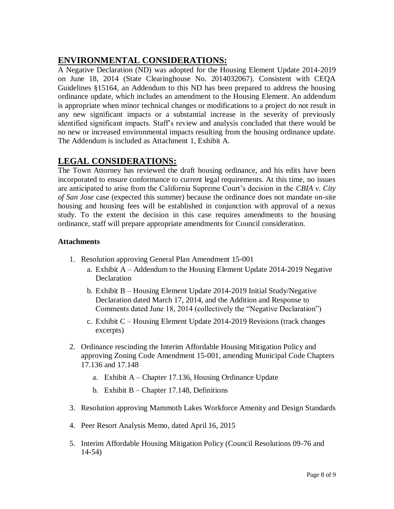# **ENVIRONMENTAL CONSIDERATIONS:**

A Negative Declaration (ND) was adopted for the Housing Element Update 2014-2019 on June 18, 2014 (State Clearinghouse No. 2014032067). Consistent with CEQA Guidelines §15164, an Addendum to this ND has been prepared to address the housing ordinance update, which includes an amendment to the Housing Element. An addendum is appropriate when minor technical changes or modifications to a project do not result in any new significant impacts or a substantial increase in the severity of previously identified significant impacts. Staff's review and analysis concluded that there would be no new or increased environmental impacts resulting from the housing ordinance update. The Addendum is included as Attachment 1, Exhibit A.

## **LEGAL CONSIDERATIONS:**

The Town Attorney has reviewed the draft housing ordinance, and his edits have been incorporated to ensure conformance to current legal requirements. At this time, no issues are anticipated to arise from the California Supreme Court's decision in the *CBIA v. City of San Jose* case (expected this summer) because the ordinance does not mandate on-site housing and housing fees will be established in conjunction with approval of a nexus study. To the extent the decision in this case requires amendments to the housing ordinance, staff will prepare appropriate amendments for Council consideration.

### **Attachments**

- 1. Resolution approving General Plan Amendment 15-001
	- a. Exhibit A Addendum to the Housing Element Update 2014-2019 Negative Declaration
	- b. Exhibit B Housing Element Update 2014-2019 Initial Study/Negative Declaration dated March 17, 2014, and the Addition and Response to Comments dated June 18, 2014 (collectively the "Negative Declaration")
	- c. Exhibit C Housing Element Update 2014-2019 Revisions (track changes excerpts)
- 2. Ordinance rescinding the Interim Affordable Housing Mitigation Policy and approving Zoning Code Amendment 15-001, amending Municipal Code Chapters 17.136 and 17.148
	- a. Exhibit A Chapter 17.136, Housing Ordinance Update
	- b. Exhibit B Chapter 17.148, Definitions
- 3. Resolution approving Mammoth Lakes Workforce Amenity and Design Standards
- 4. Peer Resort Analysis Memo, dated April 16, 2015
- 5. Interim Affordable Housing Mitigation Policy (Council Resolutions 09-76 and 14-54)